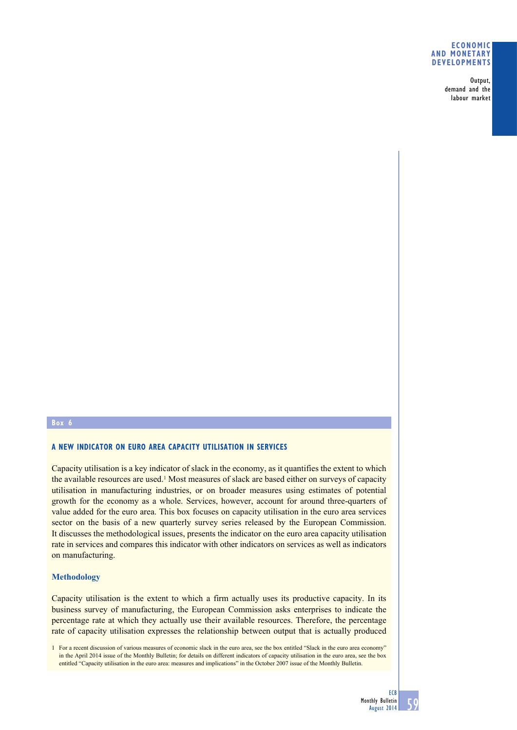### **Economic and monetary developments**

Output, demand and the labour market

# **Box 6**

## **A NEW INDICATOR ON EURO AREA CAPACITY UTILISATION IN SERVICES**

Capacity utilisation is a key indicator of slack in the economy, as it quantifies the extent to which the available resources are used.<sup>1</sup> Most measures of slack are based either on surveys of capacity utilisation in manufacturing industries, or on broader measures using estimates of potential growth for the economy as a whole. Services, however, account for around three-quarters of value added for the euro area. This box focuses on capacity utilisation in the euro area services sector on the basis of a new quarterly survey series released by the European Commission. It discusses the methodological issues, presents the indicator on the euro area capacity utilisation rate in services and compares this indicator with other indicators on services as well as indicators on manufacturing.

## **Methodology**

Capacity utilisation is the extent to which a firm actually uses its productive capacity. In its business survey of manufacturing, the European Commission asks enterprises to indicate the percentage rate at which they actually use their available resources. Therefore, the percentage rate of capacity utilisation expresses the relationship between output that is actually produced

1 For a recent discussion of various measures of economic slack in the euro area, see the box entitled "Slack in the euro area economy" in the April 2014 issue of the Monthly Bulletin; for details on different indicators of capacity utilisation in the euro area, see the box entitled "Capacity utilisation in the euro area: measures and implications" in the October 2007 issue of the Monthly Bulletin.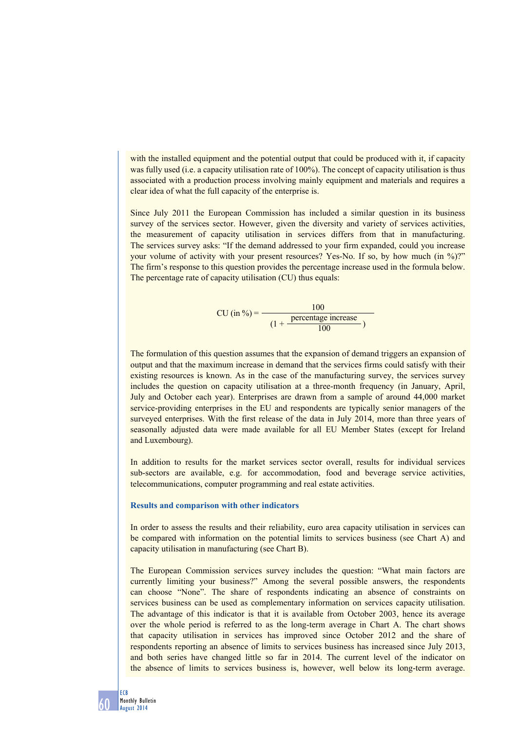with the installed equipment and the potential output that could be produced with it, if capacity was fully used (i.e. a capacity utilisation rate of 100%). The concept of capacity utilisation is thus associated with a production process involving mainly equipment and materials and requires a clear idea of what the full capacity of the enterprise is.

Since July 2011 the European Commission has included a similar question in its business survey of the services sector. However, given the diversity and variety of services activities, the measurement of capacity utilisation in services differs from that in manufacturing. The services survey asks: "If the demand addressed to your firm expanded, could you increase your volume of activity with your present resources? Yes-No. If so, by how much (in %)?" The firm's response to this question provides the percentage increase used in the formula below. The percentage rate of capacity utilisation (CU) thus equals:

$$
CU (in %) = \frac{100}{(1 + \frac{\text{percentage increase}}{100})}
$$

The formulation of this question assumes that the expansion of demand triggers an expansion of output and that the maximum increase in demand that the services firms could satisfy with their existing resources is known. As in the case of the manufacturing survey, the services survey includes the question on capacity utilisation at a three-month frequency (in January, April, July and October each year). Enterprises are drawn from a sample of around 44,000 market service-providing enterprises in the EU and respondents are typically senior managers of the surveyed enterprises. With the first release of the data in July 2014, more than three years of seasonally adjusted data were made available for all EU Member States (except for Ireland and Luxembourg).

In addition to results for the market services sector overall, results for individual services sub-sectors are available, e.g. for accommodation, food and beverage service activities, telecommunications, computer programming and real estate activities.

### **Results and comparison with other indicators**

In order to assess the results and their reliability, euro area capacity utilisation in services can be compared with information on the potential limits to services business (see Chart A) and capacity utilisation in manufacturing (see Chart B).

The European Commission services survey includes the question: "What main factors are currently limiting your business?" Among the several possible answers, the respondents can choose "None". The share of respondents indicating an absence of constraints on services business can be used as complementary information on services capacity utilisation. The advantage of this indicator is that it is available from October 2003, hence its average over the whole period is referred to as the long-term average in Chart A. The chart shows that capacity utilisation in services has improved since October 2012 and the share of respondents reporting an absence of limits to services business has increased since July 2013, and both series have changed little so far in 2014. The current level of the indicator on the absence of limits to services business is, however, well below its long-term average.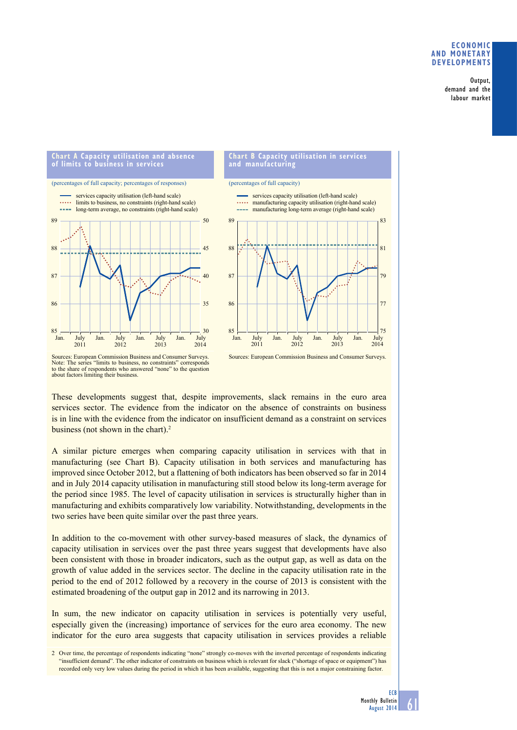## **Economic and monetary developments**

Output, demand and the labour market

#### **chart A capacity utilisation and absence of limits to business in services**

#### (percentages of full capacity; percentages of responses)





# (percentages of full capacity) services capacity utilisation (left-hand scale) manufacturing capacity utilisation (right-hand scale) **---** manufacturing long-term average (right-hand scale)



Sources: European Commission Business and Consumer Surveys. Note: The series "limits to business, no constraints" corresponds to the share of respondents who answered "none" to the question about factors limiting their business.

Sources: European Commission Business and Consumer Surveys.

These developments suggest that, despite improvements, slack remains in the euro area services sector. The evidence from the indicator on the absence of constraints on business is in line with the evidence from the indicator on insufficient demand as a constraint on services business (not shown in the chart).<sup>2</sup>

A similar picture emerges when comparing capacity utilisation in services with that in manufacturing (see Chart B). Capacity utilisation in both services and manufacturing has improved since October 2012, but a flattening of both indicators has been observed so far in 2014 and in July 2014 capacity utilisation in manufacturing still stood below its long-term average for the period since 1985. The level of capacity utilisation in services is structurally higher than in manufacturing and exhibits comparatively low variability. Notwithstanding, developments in the two series have been quite similar over the past three years.

In addition to the co-movement with other survey-based measures of slack, the dynamics of capacity utilisation in services over the past three years suggest that developments have also been consistent with those in broader indicators, such as the output gap, as well as data on the growth of value added in the services sector. The decline in the capacity utilisation rate in the period to the end of 2012 followed by a recovery in the course of 2013 is consistent with the estimated broadening of the output gap in 2012 and its narrowing in 2013.

In sum, the new indicator on capacity utilisation in services is potentially very useful, especially given the (increasing) importance of services for the euro area economy. The new indicator for the euro area suggests that capacity utilisation in services provides a reliable

<sup>2</sup> Over time, the percentage of respondents indicating "none" strongly co-moves with the inverted percentage of respondents indicating "insufficient demand". The other indicator of constraints on business which is relevant for slack ("shortage of space or equipment") has recorded only very low values during the period in which it has been available, suggesting that this is not a major constraining factor.